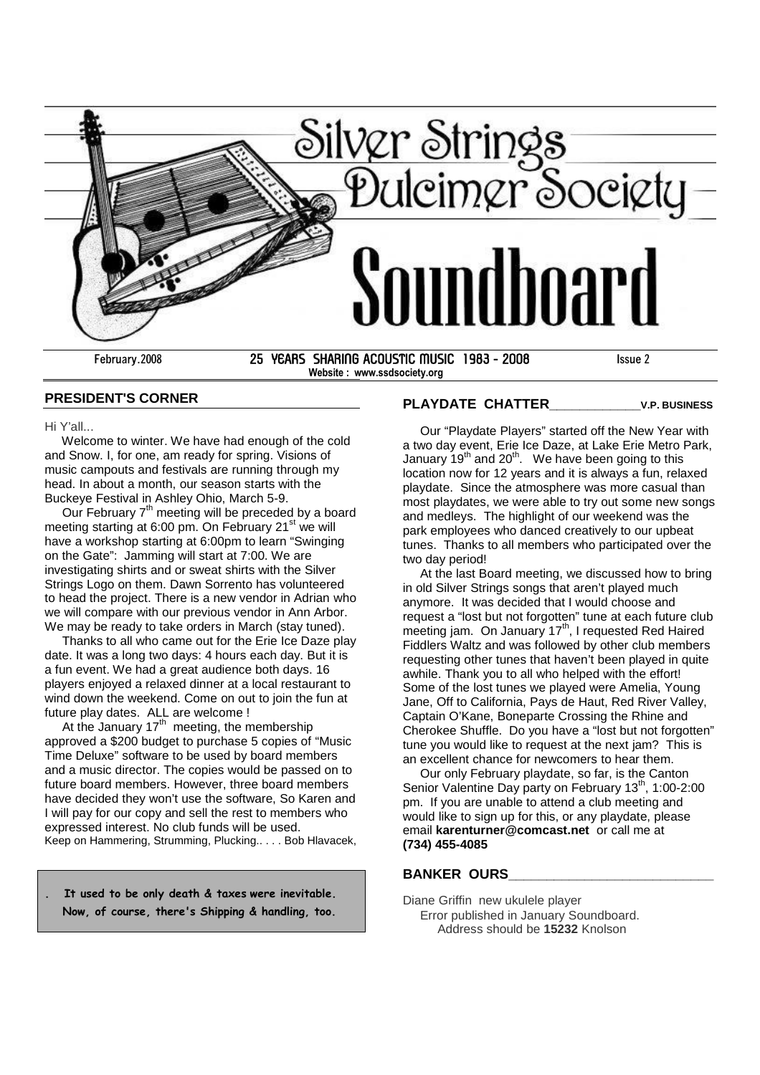

**Website : www.ssdsociety.org**

## **PRESIDENT'S CORNER**

Hi Y'all...

Welcome to winter. We have had enough of the cold and Snow. I, for one, am ready for spring. Visions of music campouts and festivals are running through my head. In about a month, our season starts with the Buckeye Festival in Ashley Ohio, March 5-9.

Our February  $7<sup>th</sup>$  meeting will be preceded by a board meeting starting at 6:00 pm. On February  $21<sup>st</sup>$  we will have a workshop starting at 6:00pm to learn "Swinging on the Gate": Jamming will start at 7:00. We are investigating shirts and or sweat shirts with the Silver Strings Logo on them. Dawn Sorrento has volunteered to head the project. There is a new vendor in Adrian who we will compare with our previous vendor in Ann Arbor. We may be ready to take orders in March (stay tuned).

Thanks to all who came out for the Erie Ice Daze play date. It was a long two days: 4 hours each day. But it is a fun event. We had a great audience both days. 16 players enjoyed a relaxed dinner at a local restaurant to wind down the weekend. Come on out to join the fun at future play dates. ALL are welcome !

At the January  $17<sup>th</sup>$  meeting, the membership approved a \$200 budget to purchase 5 copies of "Music Time Deluxe" software to be used by board members and a music director. The copies would be passed on to future board members. However, three board members have decided they won't use the software, So Karen and I will pay for our copy and sell the rest to members who expressed interest. No club funds will be used. Keep on Hammering, Strumming, Plucking.. . . . Bob Hlavacek,

**. It used to be only death & taxes were inevitable. Now, of course, there's Shipping & handling, too.**

## **PLAYDATE CHATTER\_\_\_\_\_\_\_\_\_\_\_\_V.P. BUSINESS**

Our "Playdate Players" started off the New Year with a two day event, Erie Ice Daze, at Lake Erie Metro Park, January  $19<sup>th</sup>$  and  $20<sup>th</sup>$ . We have been going to this location now for 12 years and it is always a fun, relaxed playdate. Since the atmosphere was more casual than most playdates, we were able to try out some new songs and medleys. The highlight of our weekend was the park employees who danced creatively to our upbeat tunes. Thanks to all members who participated over the two day period!

At the last Board meeting, we discussed how to bring in old Silver Strings songs that aren't played much anymore. It was decided that I would choose and request a "lost but not forgotten" tune at each future club meeting jam. On January 17<sup>th</sup>, I requested Red Haired Fiddlers Waltz and was followed by other club members requesting other tunes that haven't been played in quite awhile. Thank you to all who helped with the effort! Some of the lost tunes we played were Amelia, Young Jane, Off to California, Pays de Haut, Red River Valley, Captain O'Kane, Boneparte Crossing the Rhine and Cherokee Shuffle. Do you have a "lost but not forgotten" tune you would like to request at the next jam? This is an excellent chance for newcomers to hear them.

Our only February playdate, so far, is the Canton Senior Valentine Day party on February 13<sup>th</sup>, 1:00-2:00 pm. If you are unable to attend a club meeting and would like to sign up for this, or any playdate, please email **karenturner@comcast.net** or call me at **(734) 455-4085**

#### **BANKER OURS\_\_\_\_\_\_\_\_\_\_\_\_\_\_\_\_\_\_\_\_\_\_\_\_\_\_\_**

Diane Griffin new ukulele player Error published in January Soundboard. Address should be **15232** Knolson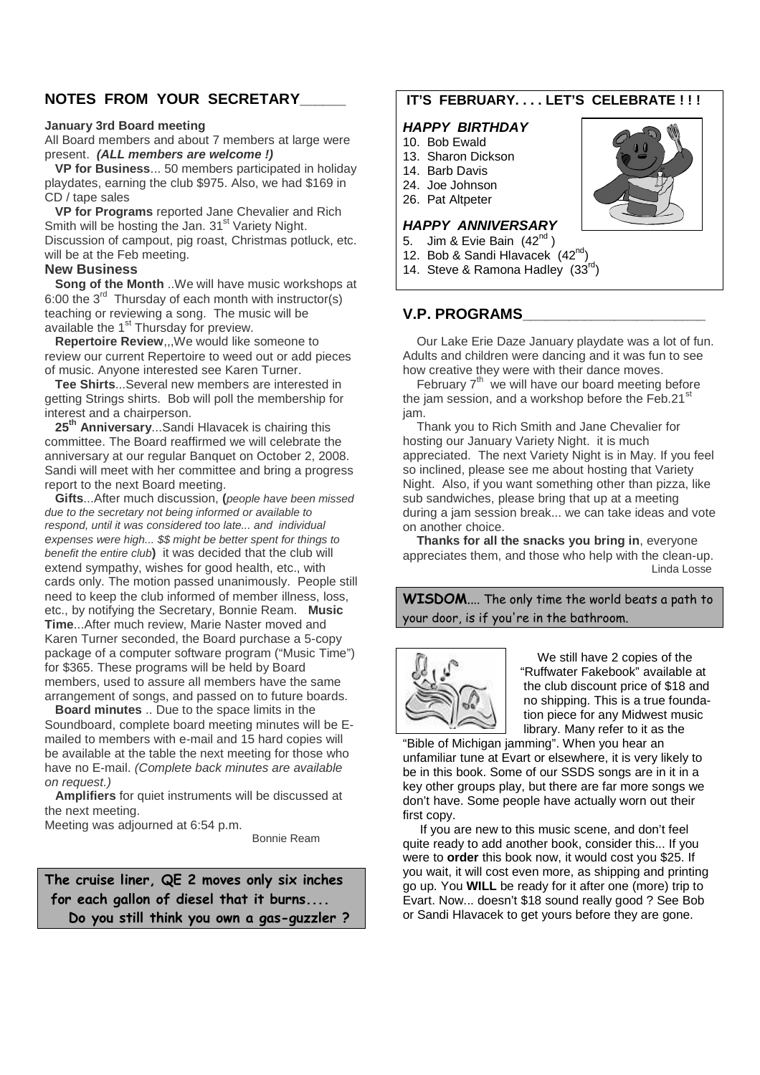# **NOTES FROM YOUR SECRETARY\_\_\_\_\_\_**

#### **January 3rd Board meeting**

All Board members and about 7 members at large were present. *(ALL members are welcome !)*

**VP for Business**... 50 members participated in holiday playdates, earning the club \$975. Also, we had \$169 in CD / tape sales

**VP for Programs** reported Jane Chevalier and Rich Smith will be hosting the Jan. 31<sup>st</sup> Variety Night. Discussion of campout, pig roast, Christmas potluck, etc. will be at the Feb meeting.

### **New Business**

**Song of the Month** ..We will have music workshops at 6:00 the  $3^{rd}$  Thursday of each month with instructor(s) teaching or reviewing a song. The music will be available the 1<sup>st</sup> Thursday for preview.

**Repertoire Review**,,,We would like someone to review our current Repertoire to weed out or add pieces of music. Anyone interested see Karen Turner.

**Tee Shirts**...Several new members are interested in getting Strings shirts. Bob will poll the membership for interest and a chairperson.

**25th Anniversary**...Sandi Hlavacek is chairing this committee. The Board reaffirmed we will celebrate the anniversary at our regular Banquet on October 2, 2008. Sandi will meet with her committee and bring a progress report to the next Board meeting.

**Gifts**...After much discussion, **(***people have been missed due to the secretary not being informed or available to respond, until it was considered too late... and individual expenses were high... \$\$ might be better spent for things to benefit the entire club***)** it was decided that the club will extend sympathy, wishes for good health, etc., with cards only. The motion passed unanimously. People still need to keep the club informed of member illness, loss, etc., by notifying the Secretary, Bonnie Ream. **Music Time**...After much review, Marie Naster moved and Karen Turner seconded, the Board purchase a 5-copy package of a computer software program ("Music Time") for \$365. These programs will be held by Board members, used to assure all members have the same arrangement of songs, and passed on to future boards.

**Board minutes** .. Due to the space limits in the Soundboard, complete board meeting minutes will be Emailed to members with e-mail and 15 hard copies will be available at the table the next meeting for those who have no E-mail. *(Complete back minutes are available on request.)*

**Amplifiers** for quiet instruments will be discussed at the next meeting.

Meeting was adjourned at 6:54 p.m.

Bonnie Ream

**The cruise liner, QE 2 moves only six inches for each gallon of diesel that it burns.... Do you still think you own a gas-guzzler ?**

# **IT'S FEBRUARY. . . . LET'S CELEBRATE ! ! !**

#### *HAPPY BIRTHDAY*

- 10. Bob Ewald
- 13. Sharon Dickson
- 14. Barb Davis
- 24. Joe Johnson
- 26. Pat Altpeter

### *HAPPY ANNIVERSARY*

- 5. Jim & Evie Bain (42<sup>nd</sup>)
- 12. Bob & Sandi Hlavacek (42<sup>nd</sup>)

14. Steve & Ramona Hadley  $(33^{\text{rd}})$ 

# **V.P. PROGRAMS\_\_\_\_\_\_\_\_\_\_\_\_\_\_\_\_\_\_\_\_\_\_\_\_**

Our Lake Erie Daze January playdate was a lot of fun. Adults and children were dancing and it was fun to see how creative they were with their dance moves.

February  $7<sup>th</sup>$  we will have our board meeting before the jam session, and a workshop before the  $Feb.21<sup>st</sup>$ jam.

Thank you to Rich Smith and Jane Chevalier for hosting our January Variety Night. it is much appreciated. The next Variety Night is in May. If you feel so inclined, please see me about hosting that Variety Night. Also, if you want something other than pizza, like sub sandwiches, please bring that up at a meeting during a jam session break... we can take ideas and vote on another choice.

**Thanks for all the snacks you bring in**, everyone appreciates them, and those who help with the clean-up. Linda Losse

**WISDOM**.... The only time the world beats a path to your door, is if you're in the bathroom.



We still have 2 copies of the "Ruffwater Fakebook" available at the club discount price of \$18 and no shipping. This is a true foundation piece for any Midwest music library. Many refer to it as the

"Bible of Michigan jamming". When you hear an unfamiliar tune at Evart or elsewhere, it is very likely to be in this book. Some of our SSDS songs are in it in a key other groups play, but there are far more songs we don't have. Some people have actually worn out their first copy.

If you are new to this music scene, and don't feel quite ready to add another book, consider this... If you were to **order** this book now, it would cost you \$25. If you wait, it will cost even more, as shipping and printing go up. You **WILL** be ready for it after one (more) trip to Evart. Now... doesn't \$18 sound really good ? See Bob or Sandi Hlavacek to get yours before they are gone.

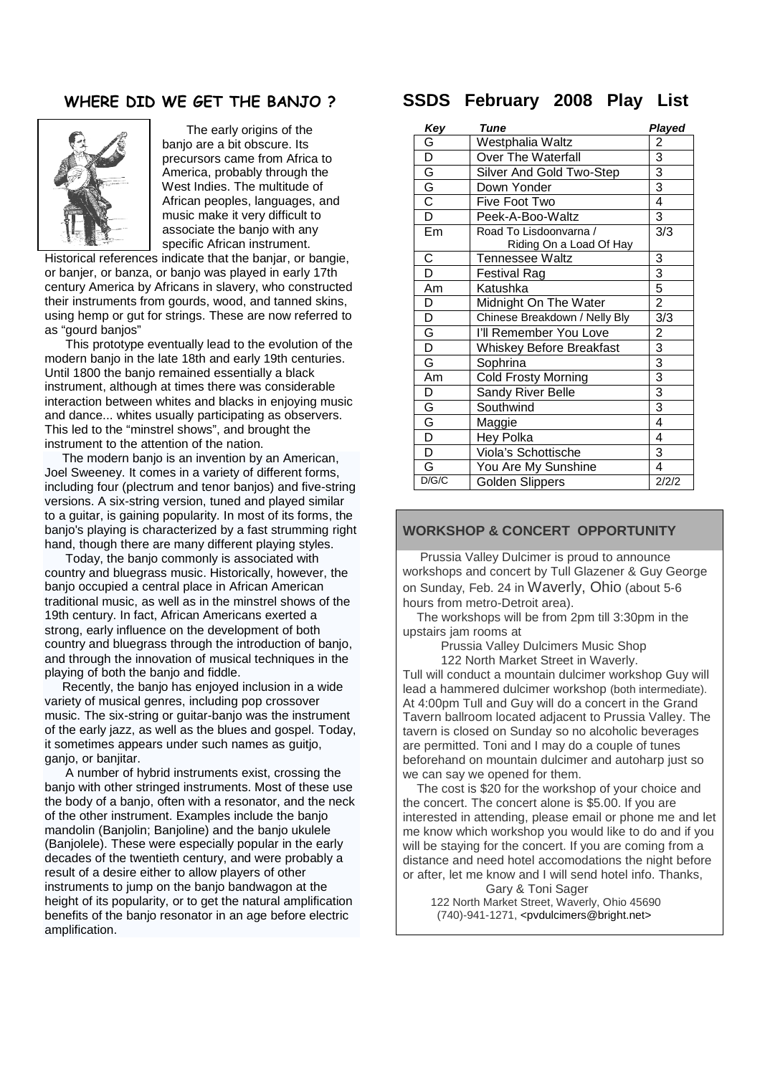# **WHERE DID WE GET THE BANJO ?**



The early origins of the banjo are a bit obscure. Its precursors came from Africa to America, probably through the West Indies. The multitude of African peoples, languages, and music make it very difficult to associate the banjo with any specific African instrument.

Historical references indicate that the banjar, or bangie, or banjer, or banza, or banjo was played in early 17th century America by Africans in slavery, who constructed their instruments from gourds, wood, and tanned skins, using hemp or gut for strings. These are now referred to as "gourd banjos"

This prototype eventually lead to the evolution of the modern banjo in the late 18th and early 19th centuries. Until 1800 the banjo remained essentially a black instrument, although at times there was considerable interaction between whites and blacks in enjoying music and dance... whites usually participating as observers. This led to the "minstrel shows", and brought the instrument to the attention of the nation.

The modern banjo is an invention by an American, Joel Sweeney. It comes in a variety of different forms, including four (plectrum and tenor banjos) and five-string versions. A six-string version, tuned and played similar to a guitar, is gaining popularity. In most of its forms, the banjo's playing is characterized by a fast strumming right hand, though there are many different playing styles.

Today, the banjo commonly is associated with country and bluegrass music. Historically, however, the banjo occupied a central place in African American traditional music, as well as in the minstrel shows of the 19th century. In fact, African Americans exerted a strong, early influence on the development of both country and bluegrass through the introduction of banjo, and through the innovation of musical techniques in the playing of both the banjo and fiddle.

Recently, the banjo has enjoyed inclusion in a wide variety of musical genres, including pop crossover music. The six-string or guitar-banjo was the instrument of the early jazz, as well as the blues and gospel. Today, it sometimes appears under such names as guitjo, ganjo, or banjitar.

A number of hybrid instruments exist, crossing the banjo with other stringed instruments. Most of these use the body of a banjo, often with a resonator, and the neck of the other instrument. Examples include the banjo mandolin (Banjolin; Banjoline) and the banjo ukulele (Banjolele). These were especially popular in the early decades of the twentieth century, and were probably a result of a desire either to allow players of other instruments to jump on the banjo bandwagon at the height of its popularity, or to get the natural amplification benefits of the banjo resonator in an age before electric amplification.

# **SSDS February 2008 Play List**

| Key                     | Tune                                              | Played         |
|-------------------------|---------------------------------------------------|----------------|
| G                       | Westphalia Waltz                                  | 2              |
| D                       | Over The Waterfall                                | 3              |
|                         | Silver And Gold Two-Step                          | $\overline{3}$ |
| $rac{G}{G}$             | Down Yonder                                       | $\overline{3}$ |
|                         | Five Foot Two                                     | $\overline{4}$ |
| $\overline{\mathsf{D}}$ | Peek-A-Boo-Waltz                                  | 3              |
| Em                      | Road To Lisdoonvarna /<br>Riding On a Load Of Hay | 3/3            |
| C                       | Tennessee Waltz                                   | 3              |
| D                       | <b>Festival Rag</b>                               | $\overline{3}$ |
| Am                      | Katushka                                          | $\overline{5}$ |
| D                       | Midnight On The Water                             | $\overline{2}$ |
| D                       | Chinese Breakdown / Nelly Bly                     | 3/3            |
| $\overline{\mathsf{G}}$ | I'll Remember You Love                            | $\overline{c}$ |
| $\overline{\mathsf{D}}$ | <b>Whiskey Before Breakfast</b>                   | $\overline{3}$ |
| G                       | Sophrina                                          | $\overline{3}$ |
| Am                      | <b>Cold Frosty Morning</b>                        | $\overline{3}$ |
| D                       | Sandy River Belle                                 | $\overline{3}$ |
| $\overline{\mathsf{G}}$ | Southwind                                         | 3              |
| $\overline{\mathsf{G}}$ | Maggie                                            | $\overline{4}$ |
| $\overline{\mathsf{D}}$ | Hey Polka                                         | 4              |
| $\overline{\mathsf{D}}$ | Viola's Schottische                               | 3              |
| G                       | You Are My Sunshine                               | 4              |
| D/G/C                   | <b>Golden Slippers</b>                            | 2/2/2          |

### **WORKSHOP & CONCERT OPPORTUNITY**

Prussia Valley Dulcimer is proud to announce workshops and concert by Tull Glazener & Guy George on Sunday, Feb. 24 in Waverly, Ohio (about 5-6 hours from metro-Detroit area).

The workshops will be from 2pm till 3:30pm in the upstairs jam rooms at

Prussia Valley Dulcimers Music Shop 122 North Market Street in Waverly.

Tull will conduct a mountain dulcimer workshop Guy will lead a hammered dulcimer workshop (both intermediate). At 4:00pm Tull and Guy will do a concert in the Grand Tavern ballroom located adjacent to Prussia Valley. The tavern is closed on Sunday so no alcoholic beverages are permitted. Toni and I may do a couple of tunes beforehand on mountain dulcimer and autoharp just so we can say we opened for them.

The cost is \$20 for the workshop of your choice and the concert. The concert alone is \$5.00. If you are interested in attending, please email or phone me and let me know which workshop you would like to do and if you will be staving for the concert. If you are coming from a distance and need hotel accomodations the night before or after, let me know and I will send hotel info. Thanks,

Gary & Toni Sager 122 North Market Street, Waverly, Ohio 45690 (740)-941-1271, <pvdulcimers@bright.net>